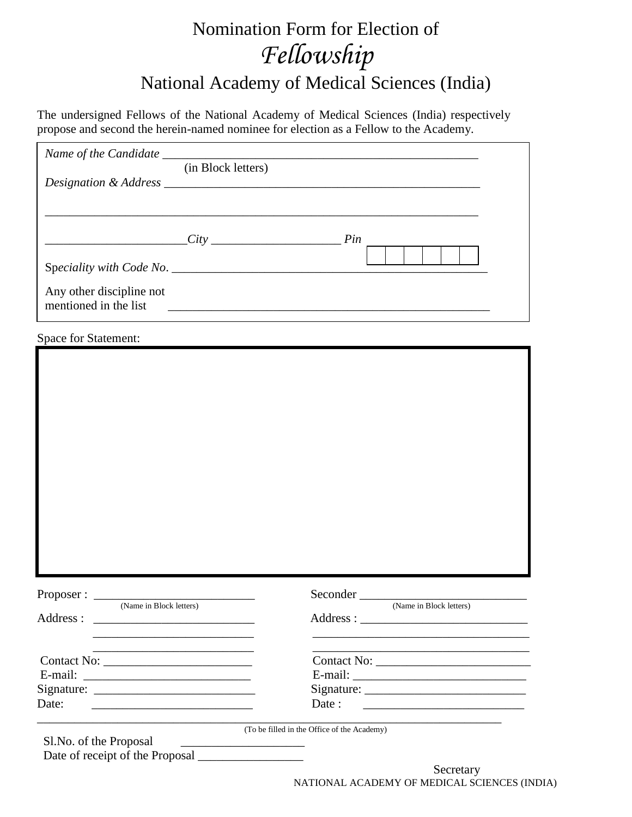# Nomination Form for Election of *Fellowship* National Academy of Medical Sciences (India)

The undersigned Fellows of the National Academy of Medical Sciences (India) respectively propose and second the herein-named nominee for election as a Fellow to the Academy.

| (in Block letters)                                                                                                             |                                                                                           |
|--------------------------------------------------------------------------------------------------------------------------------|-------------------------------------------------------------------------------------------|
| $City$ Pin                                                                                                                     |                                                                                           |
|                                                                                                                                |                                                                                           |
| Any other discipline not<br>mentioned in the list                                                                              |                                                                                           |
| <b>Space for Statement:</b>                                                                                                    |                                                                                           |
|                                                                                                                                |                                                                                           |
|                                                                                                                                |                                                                                           |
|                                                                                                                                |                                                                                           |
|                                                                                                                                |                                                                                           |
|                                                                                                                                |                                                                                           |
|                                                                                                                                |                                                                                           |
|                                                                                                                                |                                                                                           |
|                                                                                                                                |                                                                                           |
|                                                                                                                                |                                                                                           |
|                                                                                                                                |                                                                                           |
|                                                                                                                                |                                                                                           |
| (Name in Block letters)                                                                                                        | (Name in Block letters)                                                                   |
| Address :                                                                                                                      |                                                                                           |
|                                                                                                                                |                                                                                           |
| the control of the control of the control of the control of the control of the control of                                      | the control of the control of the control of the control of the control of the control of |
|                                                                                                                                |                                                                                           |
|                                                                                                                                |                                                                                           |
| Date:<br><u> 1999 - Johann Harry Harry Harry Harry Harry Harry Harry Harry Harry Harry Harry Harry Harry Harry Harry Harry</u> | Date:                                                                                     |
| Sl.No. of the Proposal                                                                                                         | (To be filled in the Office of the Academy)                                               |
| the control of the control of the control of the control of the control of                                                     |                                                                                           |
|                                                                                                                                | Secretary                                                                                 |

NATIONAL ACADEMY OF MEDICAL SCIENCES (INDIA)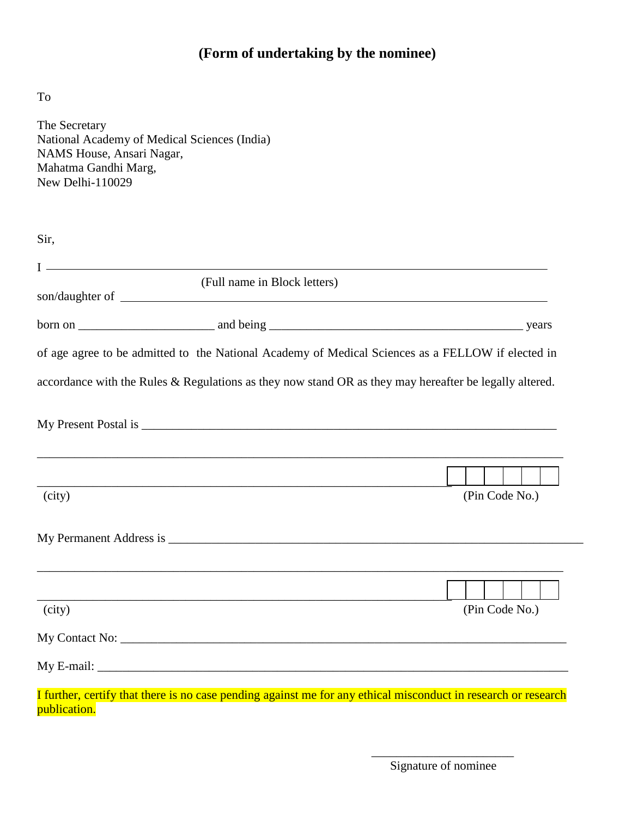# **(Form of undertaking by the nominee)**

To

| The Secretary<br>National Academy of Medical Sciences (India)<br>NAMS House, Ansari Nagar,<br>Mahatma Gandhi Marg,<br>New Delhi-110029                                                                                         |                                                                                       |                |
|--------------------------------------------------------------------------------------------------------------------------------------------------------------------------------------------------------------------------------|---------------------------------------------------------------------------------------|----------------|
| Sir,                                                                                                                                                                                                                           |                                                                                       |                |
|                                                                                                                                                                                                                                | <u> 1989 - Johann Stoff, fransk politik (f. 1989)</u><br>(Full name in Block letters) |                |
|                                                                                                                                                                                                                                |                                                                                       |                |
| of age agree to be admitted to the National Academy of Medical Sciences as a FELLOW if elected in                                                                                                                              |                                                                                       |                |
| accordance with the Rules & Regulations as they now stand OR as they may hereafter be legally altered.                                                                                                                         |                                                                                       |                |
|                                                                                                                                                                                                                                |                                                                                       |                |
|                                                                                                                                                                                                                                |                                                                                       |                |
| (city)                                                                                                                                                                                                                         |                                                                                       | (Pin Code No.) |
| My Permanent Address is No. 1996. The Second State of the Second State of the Second State of the Second State of the Second State of the Second State of the Second State of the Second State of the Second State of the Seco |                                                                                       |                |
|                                                                                                                                                                                                                                |                                                                                       |                |
| (city)                                                                                                                                                                                                                         |                                                                                       | (Pin Code No.) |
|                                                                                                                                                                                                                                |                                                                                       |                |
|                                                                                                                                                                                                                                |                                                                                       |                |
| I further, certify that there is no case pending against me for any ethical misconduct in research or research<br>publication.                                                                                                 |                                                                                       |                |

 $\overline{\phantom{a}}$  , and the contract of the contract of the contract of the contract of the contract of the contract of the contract of the contract of the contract of the contract of the contract of the contract of the contrac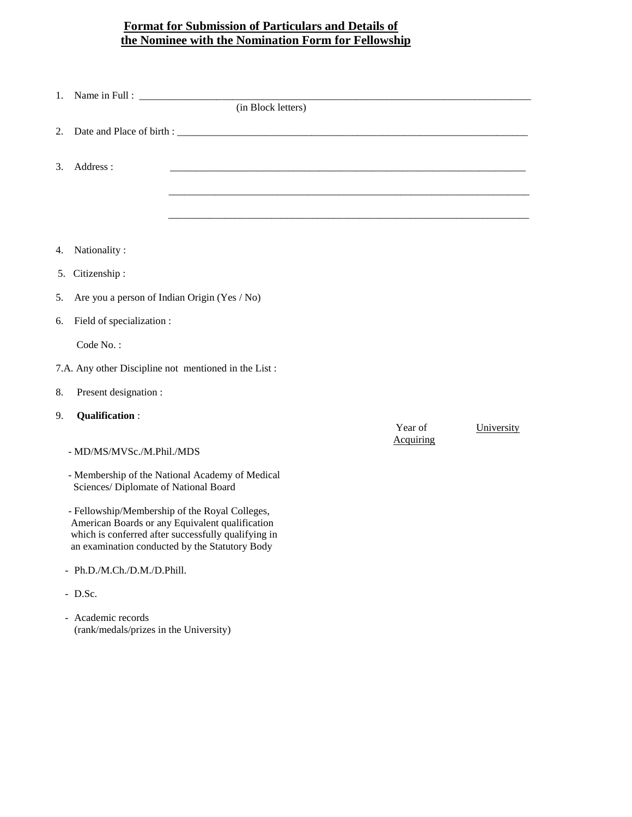# **Format for Submission of Particulars and Details of the Nominee with the Nomination Form for Fellowship**

| 1.                                                           | (in Block letters)                                                                                                                                                                                         |                             |            |
|--------------------------------------------------------------|------------------------------------------------------------------------------------------------------------------------------------------------------------------------------------------------------------|-----------------------------|------------|
|                                                              |                                                                                                                                                                                                            |                             |            |
| 2.                                                           |                                                                                                                                                                                                            |                             |            |
| Address:<br>3.                                               |                                                                                                                                                                                                            |                             |            |
|                                                              |                                                                                                                                                                                                            |                             |            |
|                                                              |                                                                                                                                                                                                            |                             |            |
|                                                              |                                                                                                                                                                                                            |                             |            |
| Nationality:<br>4.                                           |                                                                                                                                                                                                            |                             |            |
| Citizenship:<br>5.                                           |                                                                                                                                                                                                            |                             |            |
| 5.                                                           | Are you a person of Indian Origin (Yes / No)                                                                                                                                                               |                             |            |
| Field of specialization :<br>6.                              |                                                                                                                                                                                                            |                             |            |
| Code No.:                                                    |                                                                                                                                                                                                            |                             |            |
| 7.A. Any other Discipline not mentioned in the List:         |                                                                                                                                                                                                            |                             |            |
| Present designation :<br>8.                                  |                                                                                                                                                                                                            |                             |            |
| <b>Qualification:</b><br>9.                                  |                                                                                                                                                                                                            |                             |            |
|                                                              |                                                                                                                                                                                                            | Year of<br><b>Acquiring</b> | University |
| - MD/MS/MVSc./M.Phil./MDS                                    |                                                                                                                                                                                                            |                             |            |
| Sciences/ Diplomate of National Board                        | - Membership of the National Academy of Medical                                                                                                                                                            |                             |            |
|                                                              | - Fellowship/Membership of the Royal Colleges,<br>American Boards or any Equivalent qualification<br>which is conferred after successfully qualifying in<br>an examination conducted by the Statutory Body |                             |            |
| - Ph.D./M.Ch./D.M./D.Phill.                                  |                                                                                                                                                                                                            |                             |            |
| - D.Sc.                                                      |                                                                                                                                                                                                            |                             |            |
| - Academic records<br>(rank/medals/prizes in the University) |                                                                                                                                                                                                            |                             |            |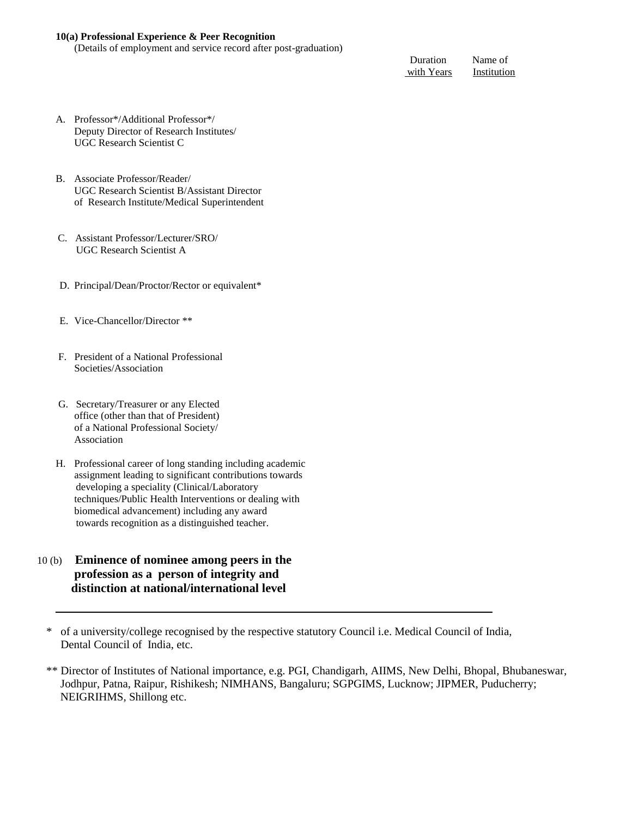#### **10(a) Professional Experience & Peer Recognition**

(Details of employment and service record after post-graduation)

 Duration Name of with Years Institution

- A. Professor\*/Additional Professor\*/ Deputy Director of Research Institutes/ UGC Research Scientist C
- B. Associate Professor/Reader/ UGC Research Scientist B/Assistant Director of Research Institute/Medical Superintendent
- C. Assistant Professor/Lecturer/SRO/ UGC Research Scientist A
- D. Principal/Dean/Proctor/Rector or equivalent\*
- E. Vice-Chancellor/Director \*\*
- F. President of a National Professional Societies/Association
- G. Secretary/Treasurer or any Elected office (other than that of President) of a National Professional Society/ Association
- H. Professional career of long standing including academic assignment leading to significant contributions towards developing a speciality (Clinical/Laboratory techniques/Public Health Interventions or dealing with biomedical advancement) including any award towards recognition as a distinguished teacher.
- 10 (b) **Eminence of nominee among peers in the profession as a person of integrity and distinction at national/international level** 
	- \* of a university/college recognised by the respective statutory Council i.e. Medical Council of India, Dental Council of India, etc.
	- \*\* Director of Institutes of National importance, e.g. PGI, Chandigarh, AIIMS, New Delhi, Bhopal, Bhubaneswar, Jodhpur, Patna, Raipur, Rishikesh; NIMHANS, Bangaluru; SGPGIMS, Lucknow; JIPMER, Puducherry; NEIGRIHMS, Shillong etc.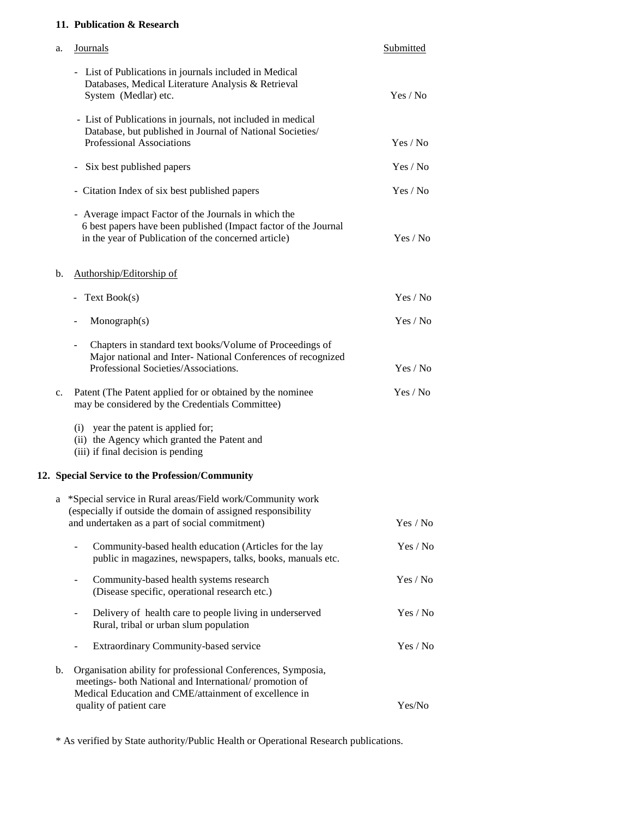### **11. Publication & Research**

| a. | <b>Journals</b>                                                                                                                                                                  | Submitted |
|----|----------------------------------------------------------------------------------------------------------------------------------------------------------------------------------|-----------|
|    | - List of Publications in journals included in Medical<br>Databases, Medical Literature Analysis & Retrieval<br>System (Medlar) etc.                                             | Yes / No  |
|    | - List of Publications in journals, not included in medical<br>Database, but published in Journal of National Societies/<br>Professional Associations                            | Yes / No  |
|    | Six best published papers                                                                                                                                                        | Yes / No  |
|    | - Citation Index of six best published papers                                                                                                                                    | Yes / No  |
|    | - Average impact Factor of the Journals in which the<br>6 best papers have been published (Impact factor of the Journal<br>in the year of Publication of the concerned article)  | Yes / No  |
| b. | Authorship/Editorship of                                                                                                                                                         |           |
|    | Text Book(s)                                                                                                                                                                     | Yes / No  |
|    | Monograph(s)                                                                                                                                                                     | Yes / No  |
|    | Chapters in standard text books/Volume of Proceedings of<br>Major national and Inter- National Conferences of recognized<br>Professional Societies/Associations.                 | Yes / No  |
| c. | Patent (The Patent applied for or obtained by the nominee<br>may be considered by the Credentials Committee)                                                                     | Yes / No  |
|    | (i) year the patent is applied for;<br>(ii) the Agency which granted the Patent and<br>(iii) if final decision is pending                                                        |           |
|    | 12. Special Service to the Profession/Community                                                                                                                                  |           |
|    | a *Special service in Rural areas/Field work/Community work<br>(especially if outside the domain of assigned responsibility<br>and undertaken as a part of social commitment)    | Yes / No  |
|    | Community-based health education (Articles for the lay<br>public in magazines, newspapers, talks, books, manuals etc.                                                            | Yes / No  |
|    | Community-based health systems research<br>(Disease specific, operational research etc.)                                                                                         | Yes / No  |
|    | Delivery of health care to people living in underserved<br>Rural, tribal or urban slum population                                                                                | Yes / No  |
|    | Extraordinary Community-based service                                                                                                                                            | Yes / No  |
| b. | Organisation ability for professional Conferences, Symposia,<br>meetings- both National and International/ promotion of<br>Medical Education and CME/attainment of excellence in |           |
|    | quality of patient care                                                                                                                                                          | Yes/No    |

\* As verified by State authority/Public Health or Operational Research publications.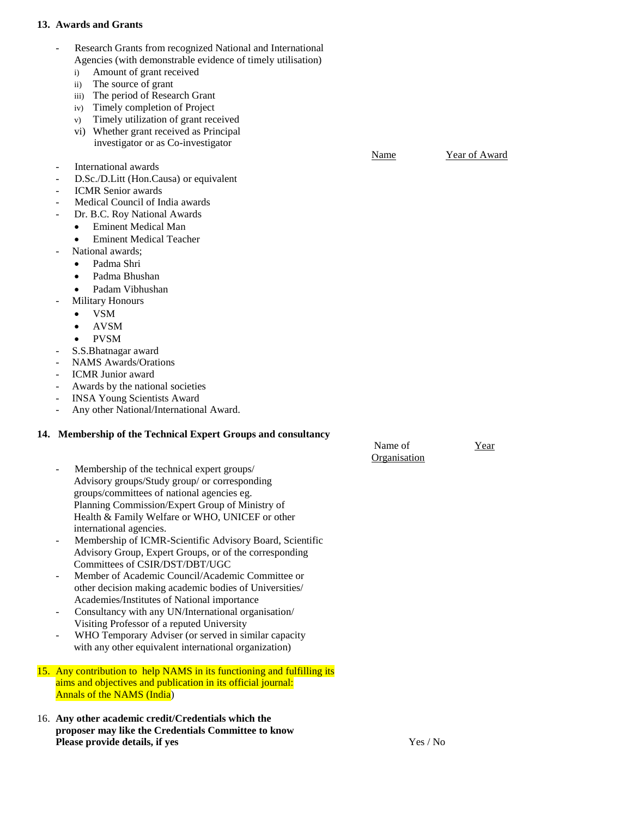#### **13. Awards and Grants**

- Research Grants from recognized National and International Agencies (with demonstrable evidence of timely utilisation)
	- i) Amount of grant received
	- ii) The source of grant
	- iii) The period of Research Grant
	- iv) Timely completion of Project
	- v) Timely utilization of grant received
	- vi) Whether grant received as Principal investigator or as Co-investigator
- International awards
- D.Sc./D.Litt (Hon.Causa) or equivalent
- ICMR Senior awards
- Medical Council of India awards
- Dr. B.C. Roy National Awards
	- Eminent Medical Man
	- Eminent Medical Teacher
- National awards:
	- Padma Shri
	- Padma Bhushan
- Padam Vibhushan
- Military Honours
	- VSM
	- AVSM
	- PVSM
- S.S.Bhatnagar award
- NAMS Awards/Orations
- ICMR Junior award
- Awards by the national societies
- INSA Young Scientists Award
- Any other National/International Award.

#### **14. Membership of the Technical Expert Groups and consultancy**

- Name of Tear **Organisation** Membership of the technical expert groups/ Advisory groups/Study group/ or corresponding groups/committees of national agencies eg. Planning Commission/Expert Group of Ministry of Health & Family Welfare or WHO, UNICEF or other international agencies.
	- Membership of ICMR-Scientific Advisory Board, Scientific Advisory Group, Expert Groups, or of the corresponding Committees of CSIR/DST/DBT/UGC
	- Member of Academic Council/Academic Committee or other decision making academic bodies of Universities/ Academies/Institutes of National importance
- Consultancy with any UN/International organisation/ Visiting Professor of a reputed University
- WHO Temporary Adviser (or served in similar capacity with any other equivalent international organization)
- 15. Any contribution to help NAMS in its functioning and fulfilling its aims and objectives and publication in its official journal: Annals of the NAMS (India)
- 16. **Any other academic credit/Credentials which the proposer may like the Credentials Committee to know Please provide details, if yes Yes / No Set 2012 12:33 Apple 2013 12:34 Apple 2013 12:34 Apple 2013 12:34 Apple 2013 12:34 Apple 2013 12:34 Apple 2013 12:34 Apple 2013 12:34 Apple 2013 12:34 Apple 2013 12:34 Apple 2013 12**

Name Year of Award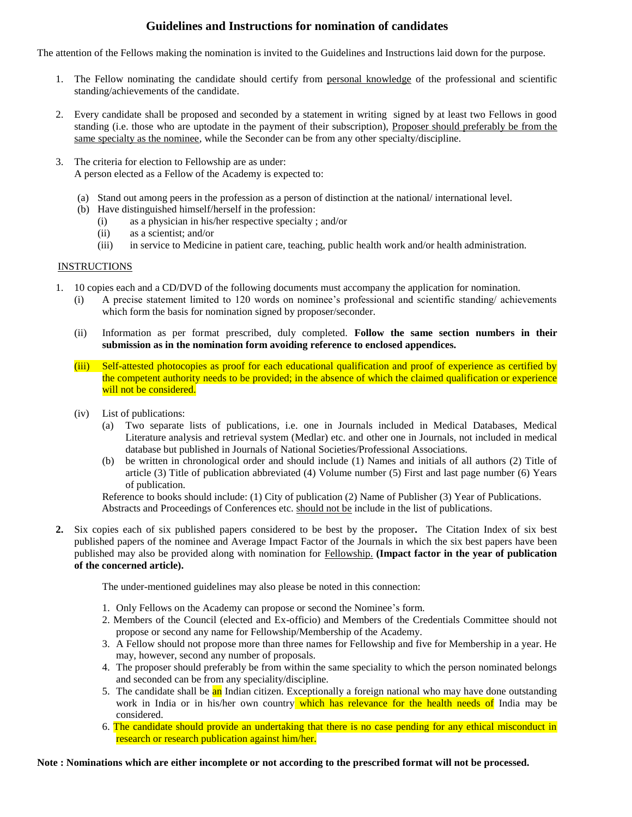## **Guidelines and Instructions for nomination of candidates**

The attention of the Fellows making the nomination is invited to the Guidelines and Instructions laid down for the purpose.

- 1. The Fellow nominating the candidate should certify from personal knowledge of the professional and scientific standing/achievements of the candidate.
- 2. Every candidate shall be proposed and seconded by a statement in writing signed by at least two Fellows in good standing (i.e. those who are uptodate in the payment of their subscription), Proposer should preferably be from the same specialty as the nominee, while the Seconder can be from any other specialty/discipline.
- 3. The criteria for election to Fellowship are as under: A person elected as a Fellow of the Academy is expected to:
	- (a) Stand out among peers in the profession as a person of distinction at the national/ international level.
	- (b) Have distinguished himself/herself in the profession:
		- (i) as a physician in his/her respective specialty ; and/or
		- (ii) as a scientist; and/or
		- (iii) in service to Medicine in patient care, teaching, public health work and/or health administration.

#### INSTRUCTIONS

- 1. 10 copies each and a CD/DVD of the following documents must accompany the application for nomination.
	- (i) A precise statement limited to 120 words on nominee's professional and scientific standing/ achievements which form the basis for nomination signed by proposer/seconder.
	- (ii) Information as per format prescribed, duly completed. **Follow the same section numbers in their submission as in the nomination form avoiding reference to enclosed appendices.**
	- (iii) Self-attested photocopies as proof for each educational qualification and proof of experience as certified by the competent authority needs to be provided; in the absence of which the claimed qualification or experience will not be considered.
	- (iv) List of publications:
		- (a) Two separate lists of publications, i.e. one in Journals included in Medical Databases, Medical Literature analysis and retrieval system (Medlar) etc. and other one in Journals, not included in medical database but published in Journals of National Societies/Professional Associations.
		- (b) be written in chronological order and should include (1) Names and initials of all authors (2) Title of article (3) Title of publication abbreviated (4) Volume number (5) First and last page number (6) Years of publication.

Reference to books should include: (1) City of publication (2) Name of Publisher (3) Year of Publications. Abstracts and Proceedings of Conferences etc. should not be include in the list of publications.

**2.** Six copies each of six published papers considered to be best by the proposer**.** The Citation Index of six best published papers of the nominee and Average Impact Factor of the Journals in which the six best papers have been published may also be provided along with nomination for Fellowship. **(Impact factor in the year of publication of the concerned article).**

The under-mentioned guidelines may also please be noted in this connection:

- 1. Only Fellows on the Academy can propose or second the Nominee's form.
- 2. Members of the Council (elected and Ex-officio) and Members of the Credentials Committee should not propose or second any name for Fellowship/Membership of the Academy.
- 3. A Fellow should not propose more than three names for Fellowship and five for Membership in a year. He may, however, second any number of proposals.
- 4. The proposer should preferably be from within the same speciality to which the person nominated belongs and seconded can be from any speciality/discipline.
- 5. The candidate shall be an Indian citizen. Exceptionally a foreign national who may have done outstanding work in India or in his/her own country which has relevance for the health needs of India may be considered.
- 6. The candidate should provide an undertaking that there is no case pending for any ethical misconduct in research or research publication against him/her.

**Note : Nominations which are either incomplete or not according to the prescribed format will not be processed.**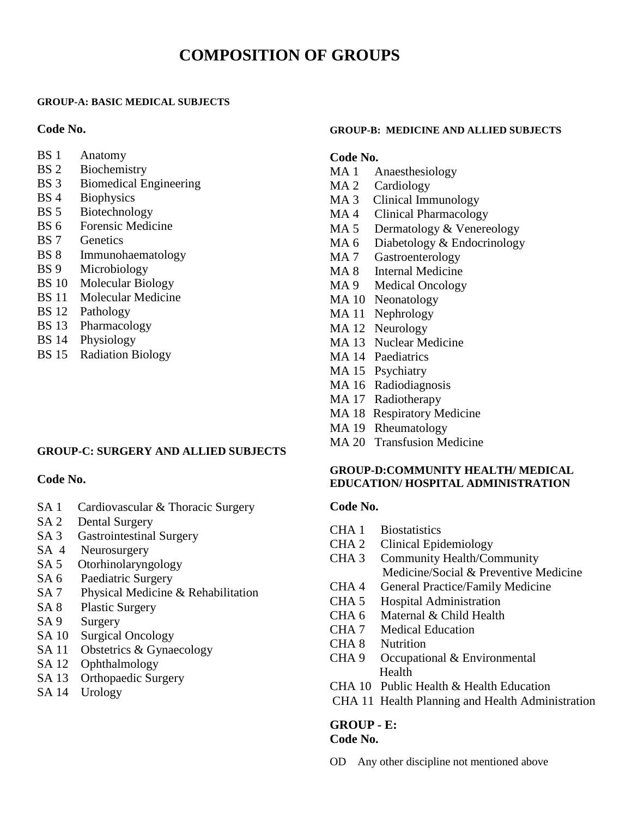# **COMPOSITION OF GROUPS**

#### **GROUP-A: BASIC MEDICAL SUBJECTS**

#### **Code No.**

- BS 1 Anatomy
- BS 2 Biochemistry
- BS 3 Biomedical Engineering
- BS 4 Biophysics
- BS 5 Biotechnology
- BS 6 Forensic Medicine
- BS 7 Genetics
- BS 8 Immunohaematology
- BS 9 Microbiology
- BS 10 Molecular Biology
- BS 11 Molecular Medicine
- BS 12 Pathology
- BS 13 Pharmacology
- BS 14 Physiology
- BS 15 Radiation Biology

#### **GROUP-C: SURGERY AND ALLIED SUBJECTS**

#### **Code No.**

- SA 1 Cardiovascular & Thoracic Surgery
- SA 2 Dental Surgery
- SA 3 Gastrointestinal Surgery
- SA 4 Neurosurgery
- SA 5 Otorhinolaryngology
- SA 6 Paediatric Surgery
- SA 7 Physical Medicine & Rehabilitation
- SA 8 Plastic Surgery
- SA 9 Surgery
- SA 10 Surgical Oncology
- SA 11 Obstetrics & Gynaecology
- SA 12 Ophthalmology
- SA 13 Orthopaedic Surgery
- SA 14 Urology

#### **GROUP-B: MEDICINE AND ALLIED SUBJECTS**

# **Code No.**

- MA 1 Anaesthesiology
- MA 2 Cardiology
- MA 3 Clinical Immunology
- MA 4 Clinical Pharmacology
- MA 5 Dermatology & Venereology
- MA 6 Diabetology & Endocrinology
- MA 7 Gastroenterology
- MA 8 Internal Medicine
- MA 9 Medical Oncology
- MA 10 Neonatology
- MA 11 Nephrology
- MA 12 Neurology
- MA 13 Nuclear Medicine
- MA 14 Paediatrics
- MA 15 Psychiatry
- MA 16 Radiodiagnosis
- MA 17 Radiotherapy
- MA 18 Respiratory Medicine
- MA 19 Rheumatology
- MA 20 Transfusion Medicine

#### **GROUP-D:COMMUNITY HEALTH/ MEDICAL EDUCATION/ HOSPITAL ADMINISTRATION**

#### **Code No.**

- CHA 1 Biostatistics
- CHA 2 Clinical Epidemiology
- CHA 3 Community Health/Community Medicine/Social & Preventive Medicine
- CHA 4 General Practice/Family Medicine
- CHA 5 Hospital Administration
- CHA 6 Maternal & Child Health
- CHA 7 Medical Education
- CHA 8 Nutrition
- CHA 9 Occupational & Environmental Health
- CHA 10 Public Health & Health Education
- CHA 11 Health Planning and Health Administration

#### **GROUP - E: Code No.**

OD Any other discipline not mentioned above